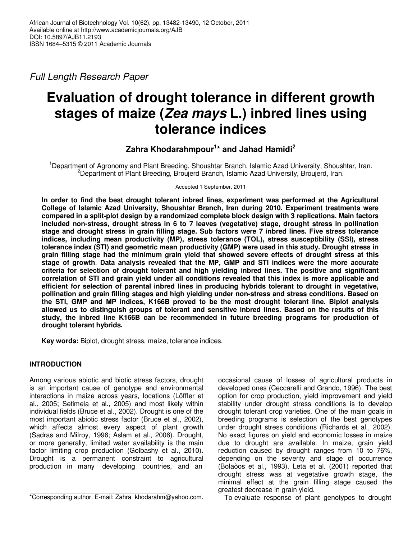Full Length Research Paper

# **Evaluation of drought tolerance in different growth stages of maize (Zea mays L.) inbred lines using tolerance indices**

## **Zahra Khodarahmpour<sup>1</sup> \* and Jahad Hamidi<sup>2</sup>**

<sup>1</sup>Department of Agronomy and Plant Breeding, Shoushtar Branch, Islamic Azad University, Shoushtar, Iran. <sup>2</sup>Department of Plant Breeding, Broujerd Branch, Islamic Azad University, Broujerd, Iran.

Accepted 1 September, 2011

**In order to find the best drought tolerant inbred lines, experiment was performed at the Agricultural College of Islamic Azad University, Shoushtar Branch, Iran during 2010. Experiment treatments were compared in a split-plot design by a randomized complete block design with 3 replications. Main factors included non-stress, drought stress in 6 to 7 leaves (vegetative) stage, drought stress in pollination stage and drought stress in grain filling stage. Sub factors were 7 inbred lines. Five stress tolerance indices, including mean productivity (MP), stress tolerance (TOL), stress susceptibility (SSI), stress tolerance index (STI) and geometric mean productivity (GMP) were used in this study. Drought stress in grain filling stage had the minimum grain yield that showed severe effects of drought stress at this stage of growth**. **Data analysis revealed that the MP, GMP and STI indices were the more accurate criteria for selection of drought tolerant and high yielding inbred lines. The positive and significant correlation of STI and grain yield under all conditions revealed that this index is more applicable and efficient for selection of parental inbred lines in producing hybrids tolerant to drought in vegetative, pollination and grain filling stages and high yielding under non-stress and stress conditions. Based on the STI, GMP and MP indices, K166B proved to be the most drought tolerant line. Biplot analysis allowed us to distinguish groups of tolerant and sensitive inbred lines. Based on the results of this study, the inbred line K166B can be recommended in future breeding programs for production of drought tolerant hybrids.** 

**Key words:** Biplot, drought stress, maize, tolerance indices.

## **INTRODUCTION**

Among various abiotic and biotic stress factors, drought is an important cause of genotype and environmental interactions in maize across years, locations (Löffler et al., 2005; Setimela et al., 2005) and most likely within individual fields (Bruce et al., 2002). Drought is one of the most important abiotic stress factor (Bruce et al., 2002), which affects almost every aspect of plant growth (Sadras and Milroy, 1996; Aslam et al., 2006). Drought, or more generally, limited water availability is the main factor limiting crop production (Golbashy et al., 2010). Drought is a permanent constraint to agricultural production in many developing countries, and an

occasional cause of losses of agricultural products in developed ones (Ceccarelli and Grando, 1996). The best option for crop production, yield improvement and yield stability under drought stress conditions is to develop drought tolerant crop varieties. One of the main goals in breeding programs is selection of the best genotypes under drought stress conditions (Richards et al., 2002). No exact figures on yield and economic losses in maize due to drought are available. In maize, grain yield reduction caused by drought ranges from 10 to 76%, depending on the severity and stage of occurrence (Bolaòos et al., 1993). Leta et al. (2001) reported that drought stress was at vegetative growth stage, the minimal effect at the grain filling stage caused the greatest decrease in grain yield.

To evaluate response of plant genotypes to drought

<sup>\*</sup>Corresponding author. E-mail: Zahra\_khodarahm@yahoo.com.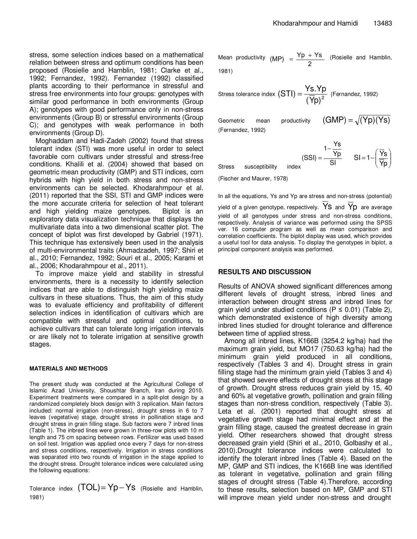stress, some selection indices based on a mathematical relation between stress and optimum conditions has been proposed (Rosielle and Hamblin, 1981; Clarke et al., 1992; Fernandez, 1992). Fernandez (1992) classified plants according to their performance in stressful and stress free environments into four groups: genotypes with similar good performance in both environments (Group A); genotypes with good performance only in non-stress environments (Group B) or stressful environments (Group C); and genotypes with weak performance in both environments (Group D).

Moghaddam and Hadi-Zadeh (2002) found that stress tolerant index (STI) was more useful in order to select favorable corn cultivars under stressful and stress-free conditions. Khalili et al. (2004) showed that based on geometric mean productivity (GMP) and STI indices, corn hybrids with high yield in both stress and non-stress environments can be selected. Khodarahmpour et al. (2011) reported that the SSI, STI and GMP indices were the more accurate criteria for selection of heat tolerant and high yielding maize genotypes. Biplot is an exploratory data visualization technique that displays the multivariate data into a two dimensional scatter plot. The concept of biplot was first developed by Gabriel (1971). This technique has extensively been used in the analysis of multi-environmental traits (Ahmadzadeh, 1997; Shiri et al., 2010; Fernandez, 1992; Souri et al., 2005; Karami et al., 2006; Khodarahmpour et al., 2011).

To improve maize yield and stability in stressful environments, there is a necessity to identify selection indices that are able to distinguish high yielding maize cultivars in these situations. Thus, the aim of this study was to evaluate efficiency and profitability of different selection indices in identification of cultivars which are compatible with stressful and optimal conditions, to achieve cultivars that can tolerate long irrigation intervals or are likely not to tolerate irrigation at sensitive growth stages.

#### **MATERIALS AND METHODS**

The present study was conducted at the Agricultural College of Islamic Azad University, Shoushtar Branch, Iran during 2010. Experiment treatments were compared in a split-plot design by a randomized completely block design with 3 replication. Main factors included: normal irrigation (non-stress), drought stress in 6 to 7 leaves (vegetative) stage, drought stress in pollination stage and drought stress in grain filling stage. Sub factors were 7 inbred lines (Table 1). The inbred lines were grown in three-row plots with 10 m length and 75 cm spacing between rows. Fertilizer was used based on soil test. Irrigation was applied once every 7 days for non-stress and stress conditions, respectively. Irrigation in stress conditions was separated into two rounds of irrigation in the stage applied to the drought stress. Drought tolerance indices were calculated using the following equations:

Tolerance index  $(TOL) = Yp-Ys$  (Rosielle and Hamblin, 1981)

Mean productivity  $(MP) = \frac{Yp + Ys}{2}$  (Rosielle and Hamblin, 1981)

Stress tolerance index  $(S \mid I) = \frac{1}{(\overline{Y}p)^2}$  $(STI) = \frac{Ys.Yp}{\sqrt{N}r^2}$  (Fernandez, 1992)

Geometric mean productivity  $(GMP) = \sqrt{(Yp)(Ys)}$ (Fernandez, 1992)

Stress susceptibility index SI  $1-\frac{Ys}{Yp}$ (SSI) −  $=-\frac{rp}{sl}$   $Sl=1-\left|\frac{rs}{\overline{V_{p}}}\right|$ J  $\backslash$  $\overline{\phantom{a}}$ l  $= 1 - \sqrt{2}$ Yp SI=1- $\frac{Ys}{\sqrt{1}}$ 

(Fischer and Maurer, 1978)

In all the equations, Ys and Yp are stress and non-stress (potential)

yield of a given genotype, respectively.  $\overline{Y}S$  and  $\overline{Y}p$  are average yield of all genotypes under stress and non-stress conditions, respectively. Analysis of variance was performed using the SPSS ver. 16 computer program as well as mean comparison and correlation coefficients. The biplot display was used, which provides a useful tool for data analysis. To display the genotypes in biplot, a principal component analysis was performed.

#### **RESULTS AND DISCUSSION**

Results of ANOVA showed significant differences among different levels of drought stress, inbred lines and interaction between drought stress and inbred lines for grain yield under studied conditions ( $P \le 0.01$ ) (Table 2), which demonstrated existence of high diversity among inbred lines studied for drought tolerance and difference between time of applied stress.

Among all inbred lines, K166B (3254.2 kg/ha) had the maximum grain yield, but MO17 (750.63 kg/ha) had the minimum grain yield produced in all conditions, respectively (Tables 3 and 4). Drought stress in grain filling stage had the minimum grain yield (Tables 3 and 4) that showed severe effects of drought stress at this stage of growth. Drought stress reduces grain yield by 15, 40 and 60% at vegetative growth, pollination and grain filling stages than non-stress condition, respectively (Table 3). Leta et al. (2001) reported that drought stress at vegetative growth stage had minimal effect and at the grain filling stage, caused the greatest decrease in grain yield. Other researchers showed that drought stress decreased grain yield (Shiri et al., 2010, Golbashy et al., 2010).Drought tolerance indices were calculated to identify the tolerant inbred lines (Table 4). Based on the MP, GMP and STI indices, the K166B line was identified as tolerant in vegetative, pollination and grain filling stages of drought stress (Table 4).Therefore, according to these results, selection based on MP, GMP and STI will improve mean yield under non-stress and drought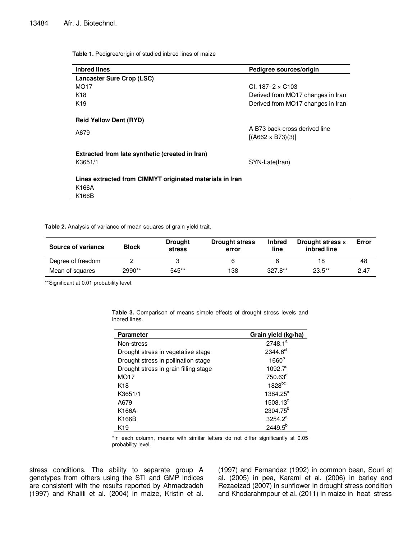**Table 1.** Pedigree/origin of studied inbred lines of maize

| <b>Inbred lines</b>                                      | Pedigree sources/origin           |
|----------------------------------------------------------|-----------------------------------|
| <b>Lancaster Sure Crop (LSC)</b>                         |                                   |
| MO <sub>17</sub>                                         | CI. $187-2 \times C103$           |
| K <sub>18</sub>                                          | Derived from MO17 changes in Iran |
| K <sub>19</sub>                                          | Derived from MO17 changes in Iran |
| <b>Reid Yellow Dent (RYD)</b>                            |                                   |
| A679                                                     | A B73 back-cross derived line     |
|                                                          | $[(A662 \times B73)(3)]$          |
| Extracted from late synthetic (created in Iran)          |                                   |
| K3651/1                                                  | SYN-Late(Iran)                    |
| Lines extracted from CIMMYT originated materials in Iran |                                   |
| K166A                                                    |                                   |
| K166B                                                    |                                   |
|                                                          |                                   |

**Table 2.** Analysis of variance of mean squares of grain yield trait.

| <b>Block</b><br>Source of variance |        | <b>Drought</b><br><b>stress</b> | <b>Drought stress</b><br>error | <b>Inbred</b><br>line | Drought stress x<br>inbred line | Error |
|------------------------------------|--------|---------------------------------|--------------------------------|-----------------------|---------------------------------|-------|
| Degree of freedom                  |        |                                 | ь                              | 6                     | 18                              | 48    |
| Mean of squares                    | 2990** | 545**                           | 138                            | $327.8**$             | $23.5**$                        | 2.47  |

\*\*Significant at 0.01 probability level.

**Table 3.** Comparison of means simple effects of drought stress levels and inbred lines.

| <b>Parameter</b>                      | Grain yield (kg/ha)  |
|---------------------------------------|----------------------|
| Non-stress                            | 2748.1 <sup>a</sup>  |
| Drought stress in vegetative stage    | 2344.6 <sup>ab</sup> |
| Drought stress in pollination stage   | 1660 <sup>b</sup>    |
| Drought stress in grain filling stage | $1092.7^{\circ}$     |
| MO <sub>17</sub>                      | 750.63 <sup>d</sup>  |
| K <sub>18</sub>                       | 1828bc               |
| K3651/1                               | 1384.25°             |
| A679                                  | $1508.13^{\circ}$    |
| K166A                                 | 2304.75 <sup>b</sup> |
| K166B                                 | 3254.2 <sup>a</sup>  |
| K19                                   | $2449.5^{b}$         |

\*In each column, means with similar letters do not differ significantly at 0.05 probability level.

stress conditions. The ability to separate group A genotypes from others using the STI and GMP indices are consistent with the results reported by Ahmadzadeh (1997) and Khalili et al. (2004) in maize, Kristin et al. (1997) and Fernandez (1992) in common bean, Souri et al. (2005) in pea, Karami et al. (2006) in barley and Rezaeizad (2007) in sunflower in drought stress condition and Khodarahmpour et al. (2011) in maize in heat stress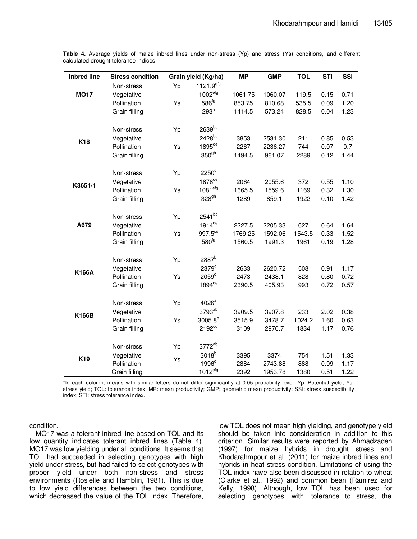| <b>Inbred line</b> | <b>Stress condition</b>      |    | Grain yield (Kg/ha)   | <b>MP</b>         | <b>GMP</b>        | <b>TOL</b>     | <b>STI</b>   | SSI          |
|--------------------|------------------------------|----|-----------------------|-------------------|-------------------|----------------|--------------|--------------|
|                    | Non-stress                   | Yp | 1121.9 <sup>efg</sup> |                   |                   |                |              |              |
| <b>MO17</b>        | Vegetative                   |    | 1002 <sup>erg</sup>   | 1061.75           | 1060.07           | 119.5          | 0.15         | 0.71         |
|                    | Pollination                  | Ys | 586 <sup>fg</sup>     | 853.75            | 810.68            | 535.5          | 0.09         | 1.20         |
|                    | Grain filling                |    | $293^h$               | 1414.5            | 573.24            | 828.5          | 0.04         | 1.23         |
|                    |                              |    |                       |                   |                   |                |              |              |
|                    | Non-stress                   | Yp | 2639bc                |                   |                   |                |              |              |
| K18                | Vegetative                   |    | 2428 <sup>bc</sup>    | 3853              | 2531.30           | 211            | 0.85         | 0.53         |
|                    | Pollination                  | Ys | 1895 <sup>de</sup>    | 2267              | 2236.27           | 744            | 0.07         | 0.7          |
|                    | Grain filling                |    | 350 <sup>gh</sup>     | 1494.5            | 961.07            | 2289           | 0.12         | 1.44         |
|                    | Non-stress                   | Yp | $2250^\circ$          |                   |                   |                |              |              |
|                    | Vegetative                   |    | 1878 <sup>de</sup>    | 2064              | 2055.6            | 372            | 0.55         | 1.10         |
| K3651/1            | Pollination                  | Ys | 1081 <sup>erg</sup>   | 1665.5            | 1559.6            | 1169           | 0.32         | 1.30         |
|                    | Grain filling                |    | 328 <sup>gh</sup>     | 1289              | 859.1             | 1922           | 0.10         | 1.42         |
|                    |                              |    | 2541bc                |                   |                   |                |              |              |
| A679               | Non-stress                   | Yp | $1914$ <sup>de</sup>  |                   |                   |                |              |              |
|                    | Vegetative                   |    | 997.5 <sup>cd</sup>   | 2227.5            | 2205.33           | 627            | 0.64         | 1.64         |
|                    | Pollination<br>Grain filling | Ys | 580 <sup>fg</sup>     | 1769.25<br>1560.5 | 1592.06<br>1991.3 | 1543.5<br>1961 | 0.33<br>0.19 | 1.52<br>1.28 |
|                    |                              |    |                       |                   |                   |                |              |              |
|                    | Non-stress                   | Yp | 2887 <sup>b</sup>     |                   |                   |                |              |              |
| <b>K166A</b>       | Vegetative                   |    | 2379 <sup>c</sup>     | 2633              | 2620.72           | 508            | 0.91         | 1.17         |
|                    | Pollination                  | Ys | 2059 <sup>d</sup>     | 2473              | 2438.1            | 828            | 0.80         | 0.72         |
|                    | Grain filling                |    | 1894 <sup>de</sup>    | 2390.5            | 405.93            | 993            | 0.72         | 0.57         |
|                    | Non-stress                   | Yp | 4026 <sup>a</sup>     |                   |                   |                |              |              |
|                    | Vegetative                   |    | 3793 <sup>ab</sup>    | 3909.5            | 3907.8            | 233            | 2.02         | 0.38         |
| <b>K166B</b>       | Pollination                  | Ys | $3005.8^{b}$          | 3515.9            | 3478.7            | 1024.2         | 1.60         | 0.63         |
|                    | Grain filling                |    | 2192 <sup>cd</sup>    | 3109              | 2970.7            | 1834           | 1.17         | 0.76         |
|                    |                              |    |                       |                   |                   |                |              |              |
|                    | Non-stress                   | Yp | 3772 <sup>ab</sup>    |                   |                   |                |              |              |
| K19                | Vegetative                   | Ys | 3018 <sup>b</sup>     | 3395              | 3374              | 754            | 1.51         | 1.33         |
|                    | Pollination                  |    | 1996 <sup>d</sup>     | 2884              | 2743.88           | 888            | 0.99         | 1.17         |
|                    | Grain filling                |    | $1012$ <sup>efg</sup> | 2392              | 1953.78           | 1380           | 0.51         | 1.22         |

**Table 4.** Average yields of maize inbred lines under non-stress (Yp) and stress (Ys) conditions, and different calculated drought tolerance indices.

\*In each column, means with similar letters do not differ significantly at 0.05 probability level. Yp: Potential yield; Ys: stress yield; TOL: tolerance index; MP: mean productivity; GMP: geometric mean productivity; SSI: stress susceptibility index; STI: stress tolerance index.

condition.

MO17 was a tolerant inbred line based on TOL and its low quantity indicates tolerant inbred lines (Table 4). MO17 was low yielding under all conditions. It seems that TOL had succeeded in selecting genotypes with high yield under stress, but had failed to select genotypes with proper yield under both non-stress and stress environments (Rosielle and Hamblin, 1981). This is due to low yield differences between the two conditions, which decreased the value of the TOL index. Therefore,

low TOL does not mean high yielding, and genotype yield should be taken into consideration in addition to this criterion. Similar results were reported by Ahmadzadeh (1997) for maize hybrids in drought stress and Khodarahmpour et al. (2011) for maize inbred lines and hybrids in heat stress condition. Limitations of using the TOL index have also been discussed in relation to wheat (Clarke et al., 1992) and common bean (Ramirez and Kelly, 1998). Although, low TOL has been used for selecting genotypes with tolerance to stress, the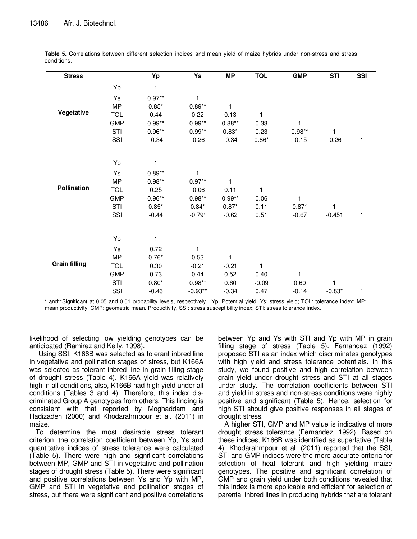| <b>Stress</b>        |            | Yp       | Ys           | MP           | <b>TOL</b>   | <b>GMP</b>   | <b>STI</b> | <b>SSI</b>   |
|----------------------|------------|----------|--------------|--------------|--------------|--------------|------------|--------------|
|                      | Yp         | 1        |              |              |              |              |            |              |
|                      | Ys         | $0.97**$ | 1            |              |              |              |            |              |
|                      | <b>MP</b>  | $0.85*$  | $0.89**$     | $\mathbf{1}$ |              |              |            |              |
| Vegetative           | <b>TOL</b> | 0.44     | 0.22         | 0.13         | 1            |              |            |              |
|                      | <b>GMP</b> | $0.99**$ | $0.99**$     | $0.88**$     | 0.33         | $\mathbf{1}$ |            |              |
|                      | STI        | $0.96**$ | $0.99**$     | $0.83*$      | 0.23         | $0.98**$     | 1          |              |
|                      | SSI        | $-0.34$  | $-0.26$      | $-0.34$      | $0.86*$      | $-0.15$      | $-0.26$    | $\mathbf{1}$ |
|                      |            |          |              |              |              |              |            |              |
|                      | Yp         | 1        |              |              |              |              |            |              |
|                      | Ys         | $0.89**$ | $\mathbf{1}$ |              |              |              |            |              |
|                      | <b>MP</b>  | $0.98**$ | $0.97**$     | $\mathbf{1}$ |              |              |            |              |
| Pollination          | <b>TOL</b> | 0.25     | $-0.06$      | 0.11         | $\mathbf{1}$ |              |            |              |
|                      | <b>GMP</b> | $0.96**$ | $0.98**$     | $0.99**$     | 0.06         | 1            |            |              |
|                      | STI        | $0.85*$  | $0.84*$      | $0.87*$      | 0.11         | $0.87*$      | 1          |              |
|                      | SSI        | $-0.44$  | $-0.79*$     | $-0.62$      | 0.51         | $-0.67$      | $-0.451$   | $\mathbf{1}$ |
|                      |            |          |              |              |              |              |            |              |
|                      | Yp         | 1        |              |              |              |              |            |              |
|                      | Ys         | 0.72     | 1            |              |              |              |            |              |
|                      | <b>MP</b>  | $0.76*$  | 0.53         | $\mathbf{1}$ |              |              |            |              |
| <b>Grain filling</b> | <b>TOL</b> | 0.30     | $-0.21$      | $-0.21$      | 1            |              |            |              |
|                      | <b>GMP</b> | 0.73     | 0.44         | 0.52         | 0.40         | $\mathbf{1}$ |            |              |
|                      | STI        | $0.80*$  | $0.98**$     | 0.60         | $-0.09$      | 0.60         | 1          |              |
|                      | SSI        | $-0.43$  | $-0.93**$    | $-0.34$      | 0.47         | $-0.14$      | $-0.83*$   | 1            |

**Table 5.** Correlations between different selection indices and mean yield of maize hybrids under non-stress and stress conditions.

\* and\*\*Significant at 0.05 and 0.01 probability levels, respectively. Yp: Potential yield; Ys: stress yield; TOL: tolerance index; MP: mean productivity; GMP: geometric mean. Productivity, SSI: stress susceptibility index; STI: stress tolerance index.

likelihood of selecting low yielding genotypes can be anticipated (Ramirez and Kelly, 1998).

Using SSI, K166B was selected as tolerant inbred line in vegetative and pollination stages of stress, but K166A was selected as tolerant inbred line in grain filling stage of drought stress (Table 4). K166A yield was relatively high in all conditions, also, K166B had high yield under all conditions (Tables 3 and 4). Therefore, this index discriminated Group A genotypes from others. This finding is consistent with that reported by Moghaddam and Hadizadeh (2000) and Khodarahmpour et al. (2011) in maize.

To determine the most desirable stress tolerant criterion, the correlation coefficient between Yp, Ys and quantitative indices of stress tolerance were calculated (Table 5). There were high and significant correlations between MP, GMP and STI in vegetative and pollination stages of drought stress (Table 5). There were significant and positive correlations between Ys and Yp with MP, GMP and STI in vegetative and pollination stages of stress, but there were significant and positive correlations

between Yp and Ys with STI and Yp with MP in grain filling stage of stress (Table 5). Fernandez (1992) proposed STI as an index which discriminates genotypes with high yield and stress tolerance potentials. In this study, we found positive and high correlation between grain yield under drought stress and STI at all stages under study. The correlation coefficients between STI and yield in stress and non-stress conditions were highly positive and significant (Table 5). Hence, selection for high STI should give positive responses in all stages of drought stress.

A higher STI, GMP and MP value is indicative of more drought stress tolerance (Fernandez, 1992). Based on these indices, K166B was identified as superlative (Table 4). Khodarahmpour et al. (2011) reported that the SSI, STI and GMP indices were the more accurate criteria for selection of heat tolerant and high yielding maize genotypes. The positive and significant correlation of GMP and grain yield under both conditions revealed that this index is more applicable and efficient for selection of parental inbred lines in producing hybrids that are tolerant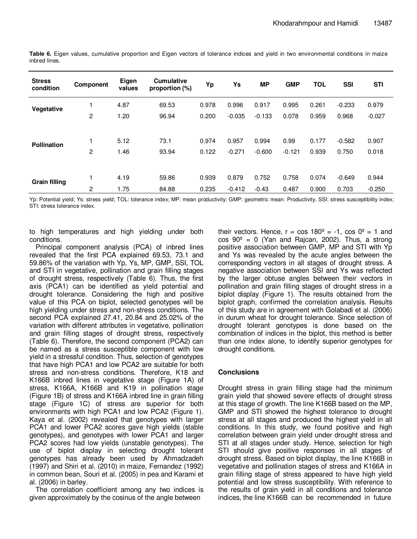| <b>Stress</b><br>condition | Component      | Eigen<br>values | <b>Cumulative</b><br>proportion (%) | Yp    | Ys       | <b>MP</b> | <b>GMP</b> | <b>TOL</b> | <b>SSI</b> | <b>STI</b> |
|----------------------------|----------------|-----------------|-------------------------------------|-------|----------|-----------|------------|------------|------------|------------|
| Vegetative                 |                | 4.87            | 69.53                               | 0.978 | 0.996    | 0.917     | 0.995      | 0.261      | $-0.233$   | 0.979      |
|                            | 2              | 1.20            | 96.94                               | 0.200 | $-0.035$ | $-0.133$  | 0.078      | 0.959      | 0.968      | $-0.027$   |
|                            |                |                 |                                     |       |          |           |            |            |            |            |
| <b>Pollination</b>         |                | 5.12            | 73.1                                | 0.974 | 0.957    | 0.994     | 0.99       | 0.177      | $-0.582$   | 0.907      |
|                            | $\overline{c}$ | 1.46            | 93.94                               | 0.122 | $-0.271$ | $-0.600$  | $-0.121$   | 0.939      | 0.750      | 0.018      |
|                            |                |                 |                                     |       |          |           |            |            |            |            |
| <b>Grain filling</b>       |                | 4.19            | 59.86                               | 0.939 | 0.879    | 0.752     | 0.758      | 0.074      | $-0.649$   | 0.944      |
|                            | 2              | 1.75            | 84.88                               | 0.235 | $-0.412$ | $-0.43$   | 0.487      | 0.900      | 0.703      | $-0.250$   |

**Table 6.** Eigen values, cumulative proportion and Eigen vectors of tolerance indices and yield in two environmental conditions in maize inbred lines.

Yp: Potential yield; Ys: stress yield; TOL: tolerance index; MP: mean productivity; GMP: geometric mean. Productivity, SSI: stress susceptibility index; STI: stress tolerance index.

to high temperatures and high yielding under both conditions.

Principal component analysis (PCA) of inbred lines revealed that the first PCA explained 69.53, 73.1 and 59.86% of the variation with Yp, Ys, MP, GMP, SSI, TOL and STI in vegetative, pollination and grain filling stages of drought stress, respectively (Table 6). Thus, the first axis (PCA1) can be identified as yield potential and drought tolerance. Considering the high and positive value of this PCA on biplot, selected genotypes will be high yielding under stress and non-stress conditions. The second PCA explained 27.41, 20.84 and 25.02% of the variation with different attributes in vegetative, pollination and grain filling stages of drought stress, respectively (Table 6). Therefore, the second component (PCA2) can be named as a stress susceptible component with low yield in a stressful condition. Thus, selection of genotypes that have high PCA1 and low PCA2 are suitable for both stress and non-stress conditions. Therefore, K18 and K166B inbred lines in vegetative stage (Figure 1A) of stress, K166A, K166B and K19 in pollination stage (Figure 1B) of stress and K166A inbred line in grain filling stage (Figure 1C) of stress are superior for both environments with high PCA1 and low PCA2 (Figure 1). Kaya et al. (2002) revealed that genotypes with larger PCA1 and lower PCA2 scores gave high yields (stable genotypes), and genotypes with lower PCA1 and larger PCA2 scores had low yields (unstable genotypes). The use of biplot display in selecting drought tolerant genotypes has already been used by Ahmadzadeh (1997) and Shiri et al. (2010) in maize, Fernandez (1992) in common bean, Souri et al. (2005) in pea and Karami et al. (2006) in barley.

The correlation coefficient among any two indices is given approximately by the cosinus of the angle between

their vectors. Hence,  $r = \cos 180^\circ = -1$ ,  $\cos 0^\circ = 1$  and  $cos 90^\circ = 0$  (Yan and Rajcan, 2002). Thus, a strong positive association between GMP, MP and STI with Yp and Ys was revealed by the acute angles between the corresponding vectors in all stages of drought stress. A negative association between SSI and Ys was reflected by the larger obtuse angles between their vectors in pollination and grain filling stages of drought stress in a biplot display (Figure 1). The results obtained from the biplot graph, confirmed the correlation analysis. Results of this study are in agreement with Golabadi et al. (2006) in durum wheat for drought tolerance. Since selection of drought tolerant genotypes is done based on the combination of indices in the biplot, this method is better than one index alone, to identify superior genotypes for drought conditions.

### **Conclusions**

Drought stress in grain filling stage had the minimum grain yield that showed severe effects of drought stress at this stage of growth. The line K166B based on the MP, GMP and STI showed the highest tolerance to drought stress at all stages and produced the highest yield in all conditions. In this study, we found positive and high correlation between grain yield under drought stress and STI at all stages under study. Hence, selection for high STI should give positive responses in all stages of drought stress. Based on biplot display, the line K166B in vegetative and pollination stages of stress and K166A in grain filling stage of stress appeared to have high yield potential and low stress susceptibility. With reference to the results of grain yield in all conditions and tolerance indices, the line K166B can be recommended in future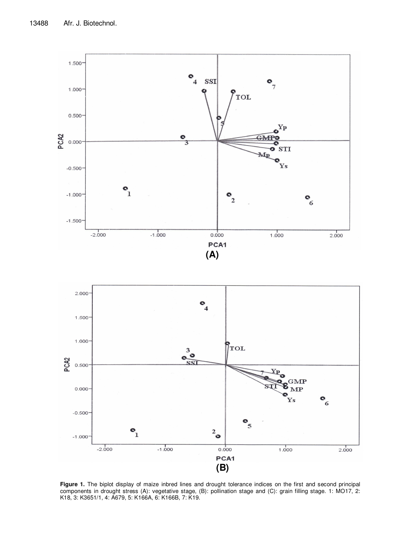

**Figure 1.** The biplot display of maize inbred lines and drought tolerance indices on the first and second principal components in drought stress (A): vegetative stage, (B): pollination stage and (C): grain filling stage. 1: MO17, 2: K18, 3: K3651/1, 4: A679, 5: K166A, 6: K166B, 7: K19.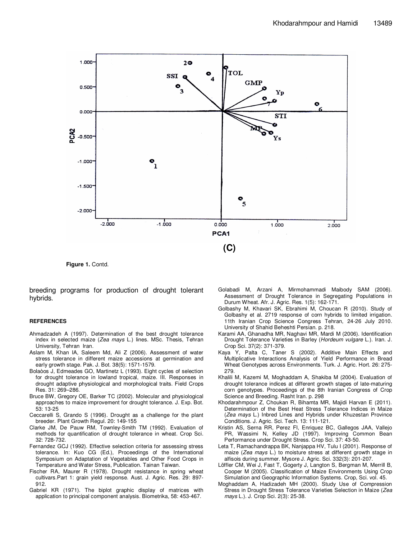

**Figure 1.** Contd.

breeding programs for production of drought tolerant hybrids.

#### **REFERENCES**

- Ahmadzadeh A (1997). Determination of the best drought tolerance index in selected maize (Zea mays L.) lines. MSc. Thesis, Tehran University, Tehran Iran.
- Aslam M, Khan IA, Saleem Md, Ali Z (2006). Assessment of water stress tolerance in different maize accessions at germination and early growth stage. Pak. J. Bot. 38(5): 1571-1579.
- Bolaòos J, Edmeades GO, Martinetz L (1993). Eight cycles of selection for drought tolerance in lowland tropical, maize. III. Responses in drought adaptive physiological and morphological traits. Field Crops Res. 31: 269–286.
- Bruce BW, Gregory OE, Barker TC (2002). Molecular and physiological approaches to maize improvement for drought tolerance. J. Exp. Bot. 53: 13-25
- Ceccarelli S, Grando S (1996). Drought as a challenge for the plant breeder. Plant Growth Regul. 20: 149-155
- Clarke JM, De Pauw RM, Townley-Smith TM (1992). Evaluation of methods for quantification of drought tolerance in wheat. Crop Sci. 32: 728-732.
- Fernandez GCJ (1992). Effective selection criteria for assessing stress tolerance. In: Kuo CG (Ed.), Proceedings of the International Symposium on Adaptation of Vegetables and Other Food Crops in Temperature and Water Stress, Publication. Tainan Taiwan.
- Fischer RA, Maurer R (1978). Drought resistance in spring wheat cultivars.Part 1: grain yield response. Aust. J. Agric. Res. 29: 897- 912.
- Gabriel KR (1971). The biplot graphic display of matrices with application to principal component analysis. Biometrika, 58: 453-467.
- Golabadi M, Arzani A, Mirmohammadi Maibody SAM (2006). Assessment of Drought Tolerance in Segregating Populations in Durum Wheat. Afr. J. Agric. Res. 1(5): 162-171.
- Golbashy M, Khavari SK, Ebrahimi M, Choucan R (2010). Study of Golbashy et al. 2719 response of corn hybrids to limited irrigation. 11th Iranian Crop Science Congress Tehran, 24-26 July 2010. University of Shahid Beheshti Persian. p. 218.
- Karami AA, Ghanadha MR, Naghavi MR, Mardi M (2006). Identification Drought Tolerance Varieties in Barley (Hordeum vulgare L.). Iran. J. Crop Sci. 37(2): 371-379.
- Kaya Y, Palta C, Taner S (2002). Additive Main Effects and Multiplicative Interactions Analysis of Yield Performance in Bread Wheat Genotypes across Environments. Turk. J. Agric. Hort. 26: 275- 279.
- Khalili M, Kazemi M, Moghaddam A, Shakiba M (2004). Evaluation of drought tolerance indices at different growth stages of late-maturing corn genotypes. Proceedings of the 8th Iranian Congress of Crop Science and Breeding. Rasht Iran. p. 298
- Khodarahmpour Z, Choukan R, Bihamta MR, Majidi Harvan E (2011). Determination of the Best Heat Stress Tolerance Indices in Maize (Zea mays L.) Inbred Lines and Hybrids under Khuzestan Province Conditions. J. Agric. Sci. Tech. 13: 111-121.
- Kristin AS, Serna RR, Perez FI, Enriquez BC, Gallegos JAA, Vallejo PR, Wassimi N, Kelley JD (1997). Improving Common Bean Performance under Drought Stress. Crop Sci. 37: 43-50.
- Leta T, Ramachandrappa BK, Nanjappa HV, Tulu I (2001). Response of maize (Zea mays L.) to moisture stress at different growth stage in alfisois during summer. Mysore J. Agric. Sci. 332(3): 201-207.
- Löffler CM, Wei J, Fast T, Gogerty J, Langton S, Bergman M, Merrill B, Cooper M (2005). Classification of Maize Environments Using Crop Simulation and Geographic Information Systems. Crop, Sci. vol. 45.
- Moghaddam A, Hadizadeh MH (2000). Study Use of Compression Stress in Drought Stress Tolerance Varieties Selection in Maize (Zea mays L.). J. Crop Sci. 2(3): 25-38.